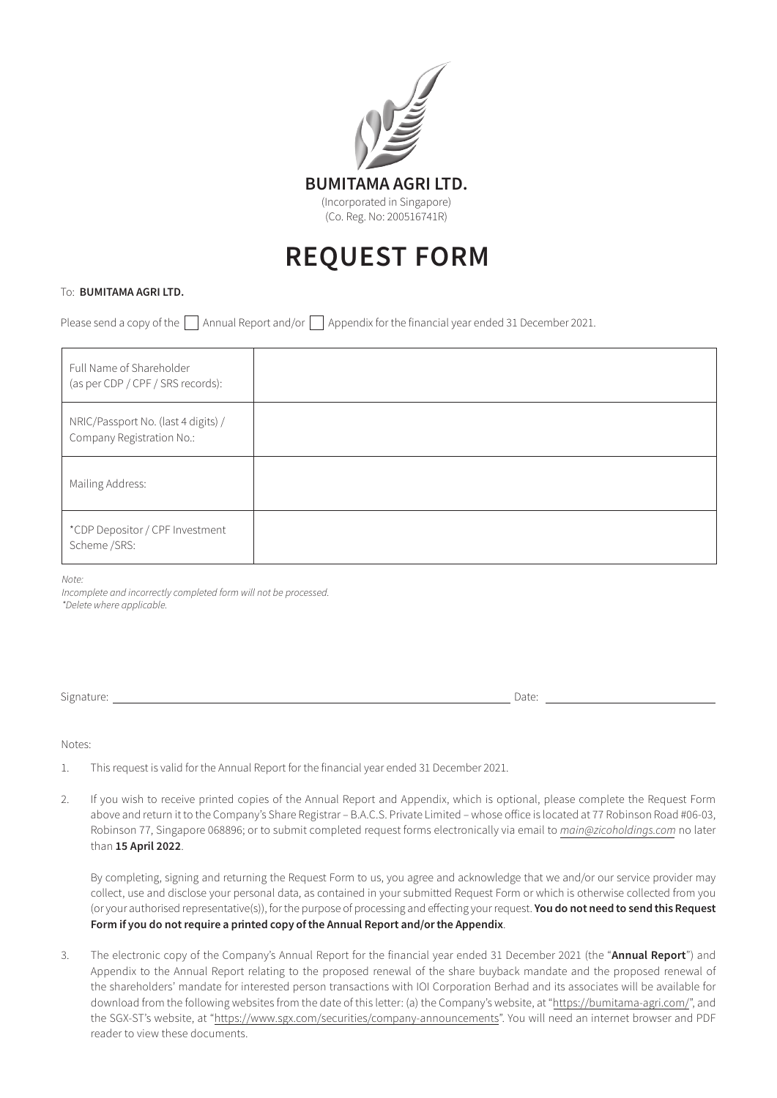

## REQUEST FORM

## To: BUMITAMA AGRI LTD.

Please send a copy of the  $\Box$  Annual Report and/or  $\Box$  Appendix for the financial year ended 31 December 2021.

| Full Name of Shareholder<br>(as per CDP / CPF / SRS records):    |  |
|------------------------------------------------------------------|--|
| NRIC/Passport No. (last 4 digits) /<br>Company Registration No.: |  |
| Mailing Address:                                                 |  |
| *CDP Depositor / CPF Investment<br>Scheme /SRS:                  |  |

*Note:* 

*Incomplete and incorrectly completed form will not be processed. \*Delete where applicable.*

Signature: Date:

Notes:

- 1. This request is valid for the Annual Report for the financial year ended 31 December 2021.
- 2. If you wish to receive printed copies of the Annual Report and Appendix, which is optional, please complete the Request Form above and return it to the Company's Share Registrar – B.A.C.S. Private Limited – whose office is located at 77 Robinson Road #06-03, Robinson 77, Singapore 068896; or to submit completed request forms electronically via email to *main@zicoholdings.com* no later than 15 April 2022.

 By completing, signing and returning the Request Form to us, you agree and acknowledge that we and/or our service provider may collect, use and disclose your personal data, as contained in your submitted Request Form or which is otherwise collected from you (or your authorised representative(s)), for the purpose of processing and effecting your request. You do not need to send this Request Form if you do not require a printed copy of the Annual Report and/or the Appendix.

3. The electronic copy of the Company's Annual Report for the financial year ended 31 December 2021 (the "Annual Report") and Appendix to the Annual Report relating to the proposed renewal of the share buyback mandate and the proposed renewal of the shareholders' mandate for interested person transactions with IOI Corporation Berhad and its associates will be available for download from the following websites from the date of this letter: (a) the Company's website, at "https://bumitama-agri.com/", and the SGX-ST's website, at "https://www.sgx.com/securities/company-announcements". You will need an internet browser and PDF reader to view these documents.